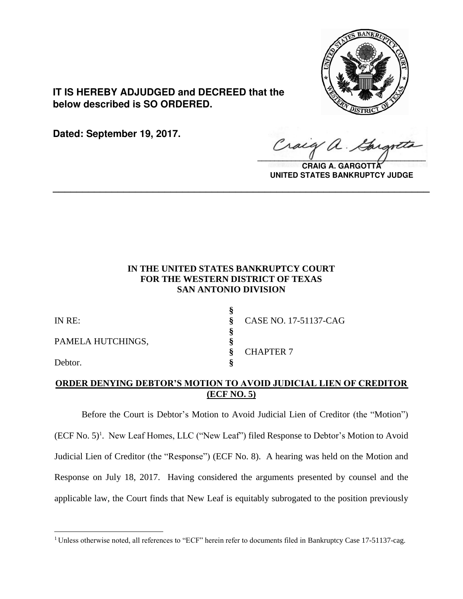

**IT IS HEREBY ADJUDGED and DECREED that the below described is SO ORDERED.**

**Dated: September 19, 2017.**

 $\overline{a}$ 

Craig  $\sqrt{2}$ 

**CRAIG A. GARGOTTA UNITED STATES BANKRUPTCY JUDGE**

# **IN THE UNITED STATES BANKRUPTCY COURT FOR THE WESTERN DISTRICT OF TEXAS SAN ANTONIO DIVISION**

**\_\_\_\_\_\_\_\_\_\_\_\_\_\_\_\_\_\_\_\_\_\_\_\_\_\_\_\_\_\_\_\_\_\_\_\_\_\_\_\_\_\_\_\_\_\_\_\_\_\_\_\_\_\_\_\_\_\_\_\_\_\_\_\_**

| IN RE:            | CASE NO. 17-51137-CAG |
|-------------------|-----------------------|
| PAMELA HUTCHINGS, |                       |
| Debtor.           | <b>CHAPTER 7</b>      |

## **ORDER DENYING DEBTOR'S MOTION TO AVOID JUDICIAL LIEN OF CREDITOR (ECF NO. 5)**

Before the Court is Debtor's Motion to Avoid Judicial Lien of Creditor (the "Motion") (ECF No. 5) 1 . New Leaf Homes, LLC ("New Leaf") filed Response to Debtor's Motion to Avoid Judicial Lien of Creditor (the "Response") (ECF No. 8). A hearing was held on the Motion and Response on July 18, 2017. Having considered the arguments presented by counsel and the applicable law, the Court finds that New Leaf is equitably subrogated to the position previously

<sup>&</sup>lt;sup>1</sup> Unless otherwise noted, all references to "ECF" herein refer to documents filed in Bankruptcy Case 17-51137-cag.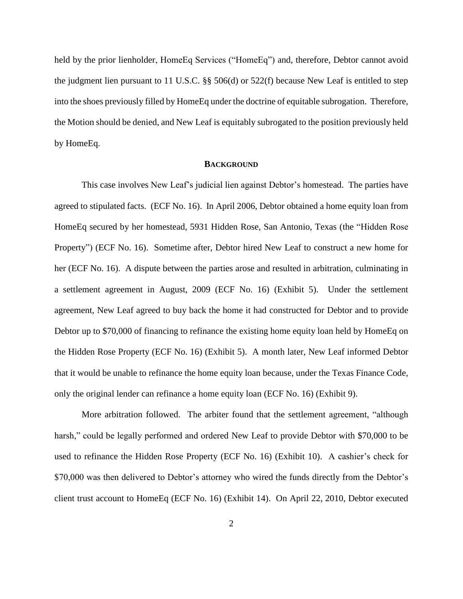held by the prior lienholder, HomeEq Services ("HomeEq") and, therefore, Debtor cannot avoid the judgment lien pursuant to 11 U.S.C. §§ 506(d) or 522(f) because New Leaf is entitled to step into the shoes previously filled by HomeEq under the doctrine of equitable subrogation. Therefore, the Motion should be denied, and New Leaf is equitably subrogated to the position previously held by HomeEq.

#### **BACKGROUND**

This case involves New Leaf's judicial lien against Debtor's homestead. The parties have agreed to stipulated facts. (ECF No. 16). In April 2006, Debtor obtained a home equity loan from HomeEq secured by her homestead, 5931 Hidden Rose, San Antonio, Texas (the "Hidden Rose Property") (ECF No. 16). Sometime after, Debtor hired New Leaf to construct a new home for her (ECF No. 16). A dispute between the parties arose and resulted in arbitration, culminating in a settlement agreement in August, 2009 (ECF No. 16) (Exhibit 5). Under the settlement agreement, New Leaf agreed to buy back the home it had constructed for Debtor and to provide Debtor up to \$70,000 of financing to refinance the existing home equity loan held by HomeEq on the Hidden Rose Property (ECF No. 16) (Exhibit 5). A month later, New Leaf informed Debtor that it would be unable to refinance the home equity loan because, under the Texas Finance Code, only the original lender can refinance a home equity loan (ECF No. 16) (Exhibit 9).

More arbitration followed. The arbiter found that the settlement agreement, "although harsh," could be legally performed and ordered New Leaf to provide Debtor with \$70,000 to be used to refinance the Hidden Rose Property (ECF No. 16) (Exhibit 10). A cashier's check for \$70,000 was then delivered to Debtor's attorney who wired the funds directly from the Debtor's client trust account to HomeEq (ECF No. 16) (Exhibit 14). On April 22, 2010, Debtor executed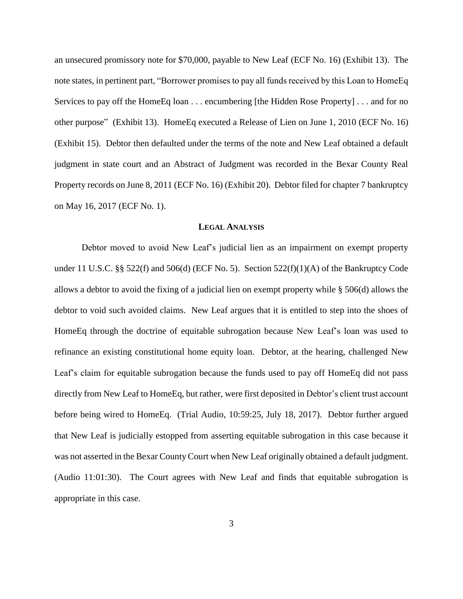an unsecured promissory note for \$70,000, payable to New Leaf (ECF No. 16) (Exhibit 13). The note states, in pertinent part, "Borrower promises to pay all funds received by this Loan to HomeEq Services to pay off the HomeEq loan . . . encumbering [the Hidden Rose Property] . . . and for no other purpose" (Exhibit 13). HomeEq executed a Release of Lien on June 1, 2010 (ECF No. 16) (Exhibit 15). Debtor then defaulted under the terms of the note and New Leaf obtained a default judgment in state court and an Abstract of Judgment was recorded in the Bexar County Real Property records on June 8, 2011 (ECF No. 16) (Exhibit 20). Debtor filed for chapter 7 bankruptcy on May 16, 2017 (ECF No. 1).

#### **LEGAL ANALYSIS**

Debtor moved to avoid New Leaf's judicial lien as an impairment on exempt property under 11 U.S.C. §§ 522(f) and 506(d) (ECF No. 5). Section  $522(f)(1)(A)$  of the Bankruptcy Code allows a debtor to avoid the fixing of a judicial lien on exempt property while § 506(d) allows the debtor to void such avoided claims. New Leaf argues that it is entitled to step into the shoes of HomeEq through the doctrine of equitable subrogation because New Leaf's loan was used to refinance an existing constitutional home equity loan. Debtor, at the hearing, challenged New Leaf's claim for equitable subrogation because the funds used to pay off HomeEq did not pass directly from New Leaf to HomeEq, but rather, were first deposited in Debtor's client trust account before being wired to HomeEq. (Trial Audio, 10:59:25, July 18, 2017). Debtor further argued that New Leaf is judicially estopped from asserting equitable subrogation in this case because it was not asserted in the Bexar County Court when New Leaf originally obtained a default judgment. (Audio 11:01:30). The Court agrees with New Leaf and finds that equitable subrogation is appropriate in this case.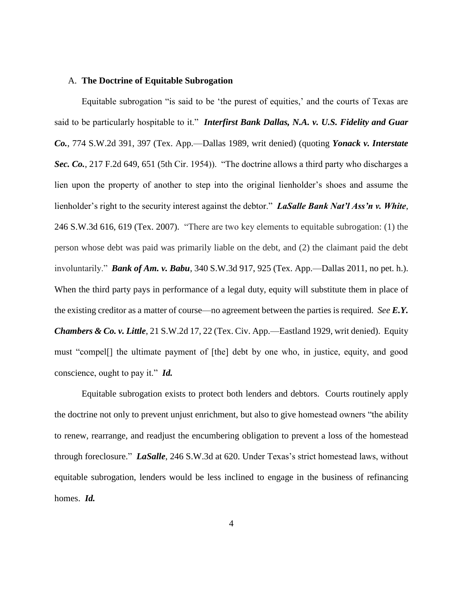#### A. **The Doctrine of Equitable Subrogation**

Equitable subrogation "is said to be 'the purest of equities,' and the courts of Texas are said to be particularly hospitable to it." *Interfirst Bank Dallas, N.A. v. U.S. Fidelity and Guar Co.*, 774 S.W.2d 391, 397 (Tex. App.—Dallas 1989, writ denied) (quoting *Yonack v. Interstate Sec. Co.*, 217 F.2d 649, 651 (5th Cir. 1954)). "The doctrine allows a third party who discharges a lien upon the property of another to step into the original lienholder's shoes and assume the lienholder's right to the security interest against the debtor." *LaSalle Bank Nat'l Ass'n v. White*, 246 S.W.3d 616, 619 (Tex. 2007). "There are two key elements to equitable subrogation: (1) the person whose debt was paid was primarily liable on the debt, and (2) the claimant paid the debt involuntarily." *Bank of Am. v. Babu*, 340 S.W.3d 917, 925 (Tex. App.—Dallas 2011, no pet. h.). When the third party pays in performance of a legal duty, equity will substitute them in place of the existing creditor as a matter of course—no agreement between the parties is required. *See E.Y. Chambers & Co. v. Little*, 21 S.W.2d 17, 22 (Tex. Civ. App.—Eastland 1929, writ denied). Equity must "compel[] the ultimate payment of [the] debt by one who, in justice, equity, and good conscience, ought to pay it." *Id.*

Equitable subrogation exists to protect both lenders and debtors. Courts routinely apply the doctrine not only to prevent unjust enrichment, but also to give homestead owners "the ability to renew, rearrange, and readjust the encumbering obligation to prevent a loss of the homestead through foreclosure." *LaSalle*, 246 S.W.3d at 620. Under Texas's strict homestead laws, without equitable subrogation, lenders would be less inclined to engage in the business of refinancing homes. *Id.*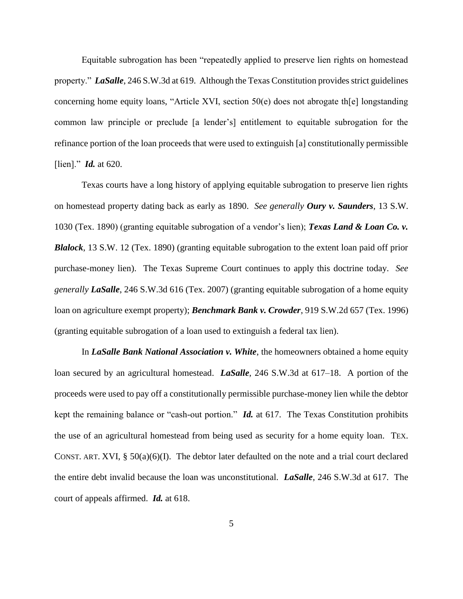Equitable subrogation has been "repeatedly applied to preserve lien rights on homestead property." *LaSalle*, 246 S.W.3d at 619. Although the Texas Constitution provides strict guidelines concerning home equity loans, "Article XVI, section 50(e) does not abrogate th[e] longstanding common law principle or preclude [a lender's] entitlement to equitable subrogation for the refinance portion of the loan proceeds that were used to extinguish [a] constitutionally permissible [lien]." *Id.* at 620.

Texas courts have a long history of applying equitable subrogation to preserve lien rights on homestead property dating back as early as 1890. *See generally Oury v. Saunders*, 13 S.W. 1030 (Tex. 1890) (granting equitable subrogation of a vendor's lien); *Texas Land & Loan Co. v. Blalock*, 13 S.W. 12 (Tex. 1890) (granting equitable subrogation to the extent loan paid off prior purchase-money lien). The Texas Supreme Court continues to apply this doctrine today. *See generally LaSalle*, 246 S.W.3d 616 (Tex. 2007) (granting equitable subrogation of a home equity loan on agriculture exempt property); *Benchmark Bank v. Crowder*, 919 S.W.2d 657 (Tex. 1996) (granting equitable subrogation of a loan used to extinguish a federal tax lien).

In *LaSalle Bank National Association v. White*, the homeowners obtained a home equity loan secured by an agricultural homestead. *LaSalle*, 246 S.W.3d at 617–18. A portion of the proceeds were used to pay off a constitutionally permissible purchase-money lien while the debtor kept the remaining balance or "cash-out portion." *Id.* at 617. The Texas Constitution prohibits the use of an agricultural homestead from being used as security for a home equity loan. TEX. CONST. ART. XVI,  $\S$  50(a)(6)(I). The debtor later defaulted on the note and a trial court declared the entire debt invalid because the loan was unconstitutional. *LaSalle*, 246 S.W.3d at 617. The court of appeals affirmed. *Id.* at 618.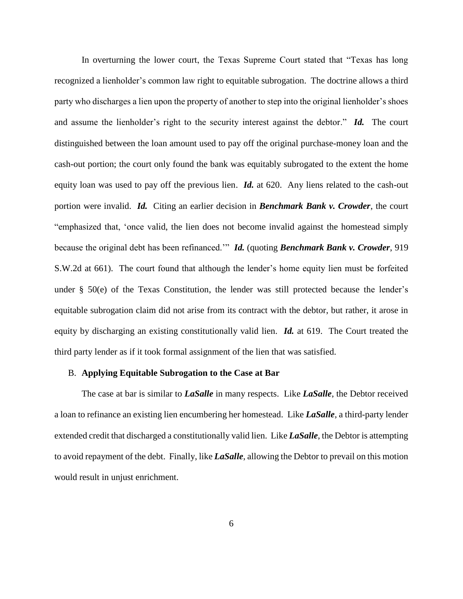In overturning the lower court, the Texas Supreme Court stated that "Texas has long recognized a lienholder's common law right to equitable subrogation. The doctrine allows a third party who discharges a lien upon the property of another to step into the original lienholder's shoes and assume the lienholder's right to the security interest against the debtor." *Id.* The court distinguished between the loan amount used to pay off the original purchase-money loan and the cash-out portion; the court only found the bank was equitably subrogated to the extent the home equity loan was used to pay off the previous lien. *Id.* at 620. Any liens related to the cash-out portion were invalid. *Id.* Citing an earlier decision in *Benchmark Bank v. Crowder*, the court "emphasized that, 'once valid, the lien does not become invalid against the homestead simply because the original debt has been refinanced.'" *Id.* (quoting *Benchmark Bank v. Crowder*, 919 S.W.2d at 661). The court found that although the lender's home equity lien must be forfeited under § 50(e) of the Texas Constitution, the lender was still protected because the lender's equitable subrogation claim did not arise from its contract with the debtor, but rather, it arose in equity by discharging an existing constitutionally valid lien. *Id.* at 619. The Court treated the third party lender as if it took formal assignment of the lien that was satisfied.

#### B. **Applying Equitable Subrogation to the Case at Bar**

The case at bar is similar to *LaSalle* in many respects. Like *LaSalle*, the Debtor received a loan to refinance an existing lien encumbering her homestead. Like *LaSalle*, a third-party lender extended credit that discharged a constitutionally valid lien. Like *LaSalle*, the Debtor is attempting to avoid repayment of the debt. Finally, like *LaSalle*, allowing the Debtor to prevail on this motion would result in unjust enrichment.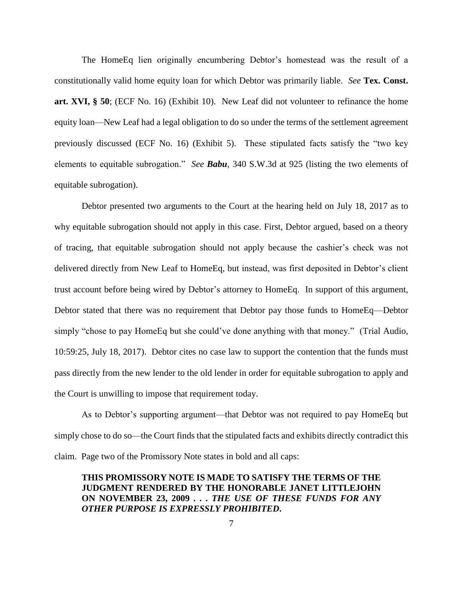The HomeEq lien originally encumbering Debtor's homestead was the result of a constitutionally valid home equity loan for which Debtor was primarily liable. *See* **Tex. Const. art. XVI, § 50**; (ECF No. 16) (Exhibit 10). New Leaf did not volunteer to refinance the home equity loan—New Leaf had a legal obligation to do so under the terms of the settlement agreement previously discussed (ECF No. 16) (Exhibit 5). These stipulated facts satisfy the "two key elements to equitable subrogation." *See Babu*, 340 S.W.3d at 925 (listing the two elements of equitable subrogation).

Debtor presented two arguments to the Court at the hearing held on July 18, 2017 as to why equitable subrogation should not apply in this case. First, Debtor argued, based on a theory of tracing, that equitable subrogation should not apply because the cashier's check was not delivered directly from New Leaf to HomeEq, but instead, was first deposited in Debtor's client trust account before being wired by Debtor's attorney to HomeEq. In support of this argument, Debtor stated that there was no requirement that Debtor pay those funds to HomeEq—Debtor simply "chose to pay HomeEq but she could've done anything with that money." (Trial Audio, 10:59:25, July 18, 2017). Debtor cites no case law to support the contention that the funds must pass directly from the new lender to the old lender in order for equitable subrogation to apply and the Court is unwilling to impose that requirement today.

As to Debtor's supporting argument—that Debtor was not required to pay HomeEq but simply chose to do so—the Court finds that the stipulated facts and exhibits directly contradict this claim. Page two of the Promissory Note states in bold and all caps:

**THIS PROMISSORY NOTE IS MADE TO SATISFY THE TERMS OF THE JUDGMENT RENDERED BY THE HONORABLE JANET LITTLEJOHN ON NOVEMBER 23, 2009 . . .** *THE USE OF THESE FUNDS FOR ANY OTHER PURPOSE IS EXPRESSLY PROHIBITED***.**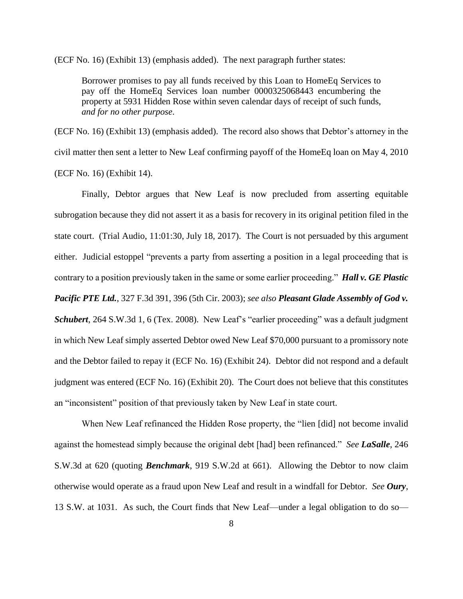(ECF No. 16) (Exhibit 13) (emphasis added). The next paragraph further states:

Borrower promises to pay all funds received by this Loan to HomeEq Services to pay off the HomeEq Services loan number 0000325068443 encumbering the property at 5931 Hidden Rose within seven calendar days of receipt of such funds, *and for no other purpose*.

(ECF No. 16) (Exhibit 13) (emphasis added). The record also shows that Debtor's attorney in the civil matter then sent a letter to New Leaf confirming payoff of the HomeEq loan on May 4, 2010 (ECF No. 16) (Exhibit 14).

Finally, Debtor argues that New Leaf is now precluded from asserting equitable subrogation because they did not assert it as a basis for recovery in its original petition filed in the state court. (Trial Audio, 11:01:30, July 18, 2017). The Court is not persuaded by this argument either. Judicial estoppel "prevents a party from asserting a position in a legal proceeding that is contrary to a position previously taken in the same or some earlier proceeding." *Hall v. GE Plastic Pacific PTE Ltd.*, 327 F.3d 391, 396 (5th Cir. 2003); *see also Pleasant Glade Assembly of God v. Schubert*, 264 S.W.3d 1, 6 (Tex. 2008). New Leaf's "earlier proceeding" was a default judgment in which New Leaf simply asserted Debtor owed New Leaf \$70,000 pursuant to a promissory note and the Debtor failed to repay it (ECF No. 16) (Exhibit 24). Debtor did not respond and a default judgment was entered (ECF No. 16) (Exhibit 20). The Court does not believe that this constitutes an "inconsistent" position of that previously taken by New Leaf in state court.

When New Leaf refinanced the Hidden Rose property, the "lien [did] not become invalid against the homestead simply because the original debt [had] been refinanced." *See LaSalle*, 246 S.W.3d at 620 (quoting *Benchmark*, 919 S.W.2d at 661). Allowing the Debtor to now claim otherwise would operate as a fraud upon New Leaf and result in a windfall for Debtor. *See Oury*, 13 S.W. at 1031. As such, the Court finds that New Leaf—under a legal obligation to do so—